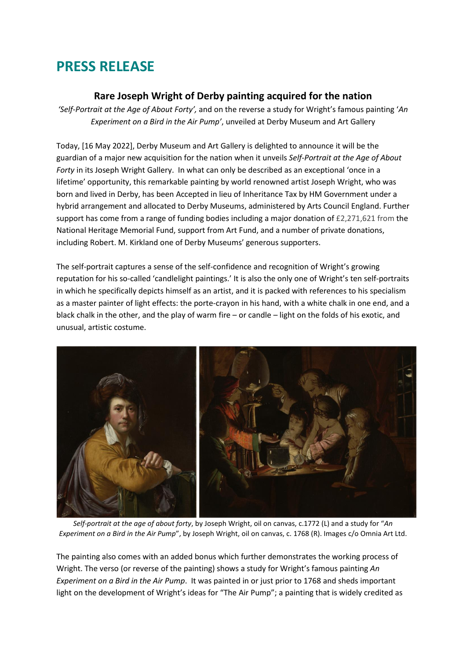# **PRESS RELEASE**

## **Rare Joseph Wright of Derby painting acquired for the nation**

*'Self-Portrait at the Age of About Forty',* and on the reverse a study for Wright's famous painting '*An Experiment on a Bird in the Air Pump'*, unveiled at Derby Museum and Art Gallery

Today, [16 May 2022], Derby Museum and Art Gallery is delighted to announce it will be the guardian of a major new acquisition for the nation when it unveils *Self-Portrait at the Age of About Forty* in its Joseph Wright Gallery. In what can only be described as an exceptional 'once in a lifetime' opportunity, this remarkable painting by world renowned artist Joseph Wright, who was born and lived in Derby, has been Accepted in lieu of Inheritance Tax by HM Government under a hybrid arrangement and allocated to Derby Museums, administered by Arts Council England. Further support has come from a range of funding bodies including a major donation of £2,271,621 from the National Heritage Memorial Fund, support from Art Fund, and a number of private donations, including Robert. M. Kirkland one of Derby Museums' generous supporters.

The self-portrait captures a sense of the self-confidence and recognition of Wright's growing reputation for his so-called 'candlelight paintings.' It is also the only one of Wright's ten self-portraits in which he specifically depicts himself as an artist, and it is packed with references to his specialism as a master painter of light effects: the porte-crayon in his hand, with a white chalk in one end, and a black chalk in the other, and the play of warm fire – or candle – light on the folds of his exotic, and unusual, artistic costume.



*Self-portrait at the age of about forty*, by Joseph Wright, oil on canvas, c.1772 (L) and a study for "*An Experiment on a Bird in the Air Pump*", by Joseph Wright, oil on canvas, c. 1768 (R). Images c/o Omnia Art Ltd.

The painting also comes with an added bonus which further demonstrates the working process of Wright. The verso (or reverse of the painting) shows a study for Wright's famous painting *An Experiment on a Bird in the Air Pump*. It was painted in or just prior to 1768 and sheds important light on the development of Wright's ideas for "The Air Pump"; a painting that is widely credited as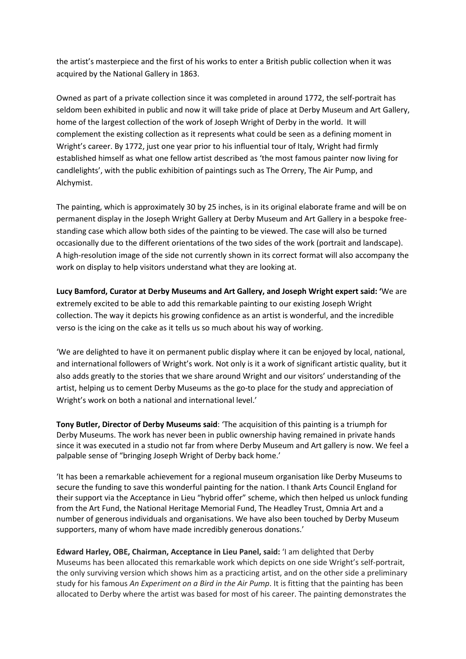the artist's masterpiece and the first of his works to enter a British public collection when it was acquired by the National Gallery in 1863.

Owned as part of a private collection since it was completed in around 1772, the self-portrait has seldom been exhibited in public and now it will take pride of place at Derby Museum and Art Gallery, home of the largest collection of the work of Joseph Wright of Derby in the world. It will complement the existing collection as it represents what could be seen as a defining moment in Wright's career. By 1772, just one year prior to his influential tour of Italy, Wright had firmly established himself as what one fellow artist described as 'the most famous painter now living for candlelights', with the public exhibition of paintings such as The Orrery, The Air Pump, and Alchymist.

The painting, which is approximately 30 by 25 inches, is in its original elaborate frame and will be on permanent display in the Joseph Wright Gallery at Derby Museum and Art Gallery in a bespoke freestanding case which allow both sides of the painting to be viewed. The case will also be turned occasionally due to the different orientations of the two sides of the work (portrait and landscape). A high-resolution image of the side not currently shown in its correct format will also accompany the work on display to help visitors understand what they are looking at.

**Lucy Bamford, Curator at Derby Museums and Art Gallery, and Joseph Wright expert said: '**We are extremely excited to be able to add this remarkable painting to our existing Joseph Wright collection. The way it depicts his growing confidence as an artist is wonderful, and the incredible verso is the icing on the cake as it tells us so much about his way of working.

'We are delighted to have it on permanent public display where it can be enjoyed by local, national, and international followers of Wright's work. Not only is it a work of significant artistic quality, but it also adds greatly to the stories that we share around Wright and our visitors' understanding of the artist, helping us to cement Derby Museums as the go-to place for the study and appreciation of Wright's work on both a national and international level.'

**Tony Butler, Director of Derby Museums said**: 'The acquisition of this painting is a triumph for Derby Museums. The work has never been in public ownership having remained in private hands since it was executed in a studio not far from where Derby Museum and Art gallery is now. We feel a palpable sense of "bringing Joseph Wright of Derby back home.'

'It has been a remarkable achievement for a regional museum organisation like Derby Museums to secure the funding to save this wonderful painting for the nation. I thank Arts Council England for their support via the Acceptance in Lieu "hybrid offer" scheme, which then helped us unlock funding from the Art Fund, the National Heritage Memorial Fund, The Headley Trust, Omnia Art and a number of generous individuals and organisations. We have also been touched by Derby Museum supporters, many of whom have made incredibly generous donations.'

**Edward Harley, OBE, Chairman, Acceptance in Lieu Panel, said:** 'I am delighted that Derby Museums has been allocated this remarkable work which depicts on one side Wright's self-portrait, the only surviving version which shows him as a practicing artist, and on the other side a preliminary study for his famous *An Experiment on a Bird in the Air Pump*. It is fitting that the painting has been allocated to Derby where the artist was based for most of his career. The painting demonstrates the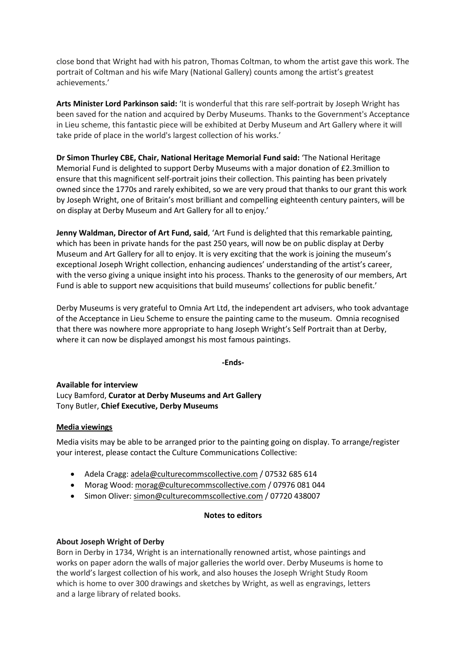close bond that Wright had with his patron, Thomas Coltman, to whom the artist gave this work. The portrait of Coltman and his wife Mary (National Gallery) counts among the artist's greatest achievements.'

**Arts Minister Lord Parkinson said:** 'It is wonderful that this rare self-portrait by Joseph Wright has been saved for the nation and acquired by Derby Museums. Thanks to the Government's Acceptance in Lieu scheme, this fantastic piece will be exhibited at Derby Museum and Art Gallery where it will take pride of place in the world's largest collection of his works.'

**Dr Simon Thurley CBE, Chair, National Heritage Memorial Fund said:** 'The National Heritage Memorial Fund is delighted to support Derby Museums with a major donation of £2.3million to ensure that this magnificent self-portrait joins their collection. This painting has been privately owned since the 1770s and rarely exhibited, so we are very proud that thanks to our grant this work by Joseph Wright, one of Britain's most brilliant and compelling eighteenth century painters, will be on display at Derby Museum and Art Gallery for all to enjoy.'

**Jenny Waldman, Director of Art Fund, said**, 'Art Fund is delighted that this remarkable painting, which has been in private hands for the past 250 years, will now be on public display at Derby Museum and Art Gallery for all to enjoy. It is very exciting that the work is joining the museum's exceptional Joseph Wright collection, enhancing audiences' understanding of the artist's career, with the verso giving a unique insight into his process. Thanks to the generosity of our members, Art Fund is able to support new acquisitions that build museums' collections for public benefit.'

Derby Museums is very grateful to Omnia Art Ltd, the independent art advisers, who took advantage of the Acceptance in Lieu Scheme to ensure the painting came to the museum. Omnia recognised that there was nowhere more appropriate to hang Joseph Wright's Self Portrait than at Derby, where it can now be displayed amongst his most famous paintings.

#### **-Ends-**

**Available for interview** Lucy Bamford, **Curator at Derby Museums and Art Gallery** Tony Butler, **Chief Executive, Derby Museums**

#### **Media viewings**

Media visits may be able to be arranged prior to the painting going on display. To arrange/register your interest, please contact the Culture Communications Collective:

- Adela Cragg: [adela@culturecommscollective.com](mailto:adela@culturecommscollective.com) / 07532 685 614
- Morag Wood: [morag@culturecommscollective.com](mailto:morag@culturecommscollective.com) / 07976 081 044
- Simon Oliver: [simon@culturecommscollective.com](mailto:simon@culturecommscollective.com) / 07720 438007

#### **Notes to editors**

#### **About Joseph Wright of Derby**

Born in Derby in 1734, Wright is an internationally renowned artist, whose paintings and works on paper adorn the walls of major galleries the world over. Derby Museums is home to the world's largest collection of his work, and also houses the Joseph Wright Study Room which is home to over 300 drawings and sketches by Wright, as well as engravings, letters and a large library of related books.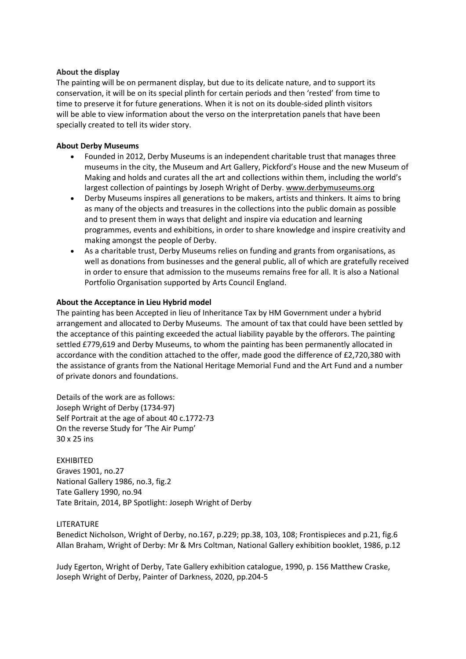#### **About the display**

The painting will be on permanent display, but due to its delicate nature, and to support its conservation, it will be on its special plinth for certain periods and then 'rested' from time to time to preserve it for future generations. When it is not on its double-sided plinth visitors will be able to view information about the verso on the interpretation panels that have been specially created to tell its wider story.

#### **About Derby Museums**

- Founded in 2012, Derby Museums is an independent charitable trust that manages three museums in the city, the Museum and Art Gallery, Pickford's House and the new Museum of Making and holds and curates all the art and collections within them, including the world's largest collection of paintings by Joseph Wright of Derby. [www.derbymuseums.org](http://www.derbymuseums.org/)
- Derby Museums inspires all generations to be makers, artists and thinkers. It aims to bring as many of the objects and treasures in the collections into the public domain as possible and to present them in ways that delight and inspire via education and learning programmes, events and exhibitions, in order to share knowledge and inspire creativity and making amongst the people of Derby.
- As a charitable trust, Derby Museums relies on funding and grants from organisations, as well as donations from businesses and the general public, all of which are gratefully received in order to ensure that admission to the museums remains free for all. It is also a National Portfolio Organisation supported by Arts Council England.

#### **About the Acceptance in Lieu Hybrid model**

The painting has been Accepted in lieu of Inheritance Tax by HM Government under a hybrid arrangement and allocated to Derby Museums. The amount of tax that could have been settled by the acceptance of this painting exceeded the actual liability payable by the offerors. The painting settled £779,619 and Derby Museums, to whom the painting has been permanently allocated in accordance with the condition attached to the offer, made good the difference of £2,720,380 with the assistance of grants from the National Heritage Memorial Fund and the Art Fund and a number of private donors and foundations.

Details of the work are as follows: Joseph Wright of Derby (1734-97) Self Portrait at the age of about 40 c.1772-73 On the reverse Study for 'The Air Pump' 30 x 25 ins

EXHIBITED Graves 1901, no.27 National Gallery 1986, no.3, fig.2 Tate Gallery 1990, no.94 Tate Britain, 2014, BP Spotlight: Joseph Wright of Derby

#### LITERATURE

Benedict Nicholson, Wright of Derby, no.167, p.229; pp.38, 103, 108; Frontispieces and p.21, fig.6 Allan Braham, Wright of Derby: Mr & Mrs Coltman, National Gallery exhibition booklet, 1986, p.12

Judy Egerton, Wright of Derby, Tate Gallery exhibition catalogue, 1990, p. 156 Matthew Craske, Joseph Wright of Derby, Painter of Darkness, 2020, pp.204-5